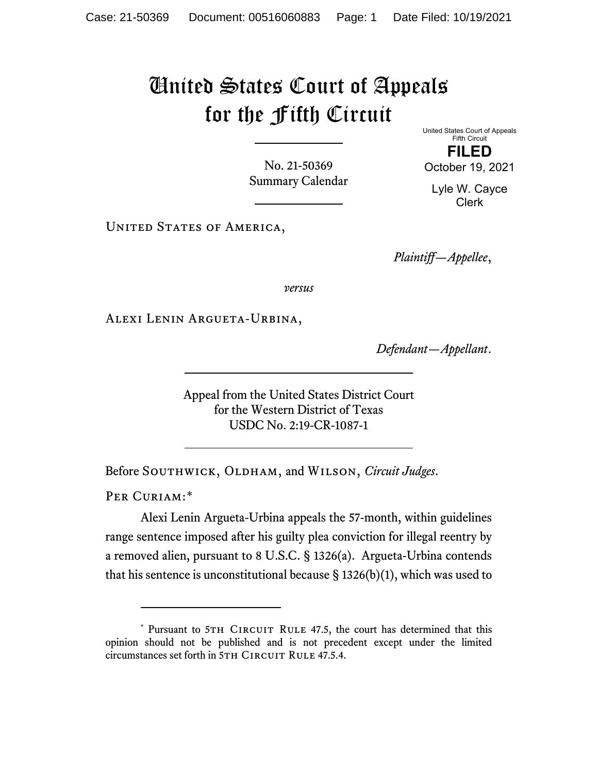## United States Court of Appeals for the Fifth Circuit

No. 21-50369 Summary Calendar United States Court of Appeals Fifth Circuit **FILED**

October 19, 2021

Lyle W. Cayce Clerk

UNITED STATES OF AMERICA,

*Plaintiff—Appellee*,

*versus*

Alexi Lenin Argueta-Urbina,

*Defendant—Appellant*.

Appeal from the United States District Court for the Western District of Texas USDC No. 2:19-CR-1087-1

Before SOUTHWICK, OLDHAM, and WILSON, *Circuit Judges*.

PER CURIAM:[\\*](#page-0-0)

Alexi Lenin Argueta-Urbina appeals the 57-month, within guidelines range sentence imposed after his guilty plea conviction for illegal reentry by a removed alien, pursuant to 8 U.S.C. § 1326(a). Argueta-Urbina contends that his sentence is unconstitutional because  $\S$  1326(b)(1), which was used to

<span id="page-0-0"></span><sup>\*</sup> Pursuant to 5TH CIRCUIT RULE 47.5, the court has determined that this opinion should not be published and is not precedent except under the limited circumstances set forth in 5TH CIRCUIT RULE 47.5.4.